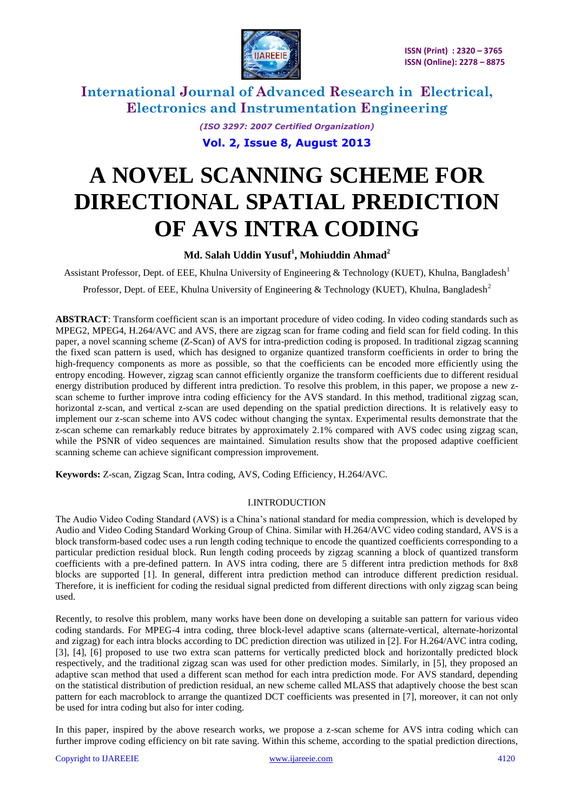

> *(ISO 3297: 2007 Certified Organization)* **Vol. 2, Issue 8, August 2013**

# **A NOVEL SCANNING SCHEME FOR DIRECTIONAL SPATIAL PREDICTION OF AVS INTRA CODING**

### **Md. Salah Uddin Yusuf<sup>1</sup> , Mohiuddin Ahmad<sup>2</sup>**

Assistant Professor, Dept. of EEE, Khulna University of Engineering & Technology (KUET), Khulna, Bangladesh<sup>1</sup>

Professor, Dept. of EEE, Khulna University of Engineering & Technology (KUET), Khulna, Bangladesh<sup>2</sup>

**ABSTRACT**: Transform coefficient scan is an important procedure of video coding. In video coding standards such as MPEG2, MPEG4, H.264/AVC and AVS, there are zigzag scan for frame coding and field scan for field coding. In this paper, a novel scanning scheme (Z-Scan) of AVS for intra-prediction coding is proposed. In traditional zigzag scanning the fixed scan pattern is used, which has designed to organize quantized transform coefficients in order to bring the high-frequency components as more as possible, so that the coefficients can be encoded more efficiently using the entropy encoding. However, zigzag scan cannot efficiently organize the transform coefficients due to different residual energy distribution produced by different intra prediction. To resolve this problem, in this paper, we propose a new zscan scheme to further improve intra coding efficiency for the AVS standard. In this method, traditional zigzag scan, horizontal z-scan, and vertical z-scan are used depending on the spatial prediction directions. It is relatively easy to implement our z-scan scheme into AVS codec without changing the syntax. Experimental results demonstrate that the z-scan scheme can remarkably reduce bitrates by approximately 2.1% compared with AVS codec using zigzag scan, while the PSNR of video sequences are maintained. Simulation results show that the proposed adaptive coefficient scanning scheme can achieve significant compression improvement.

**Keywords:** Z-scan, Zigzag Scan, Intra coding, AVS, Coding Efficiency, H.264/AVC.

#### I.INTRODUCTION

The Audio Video Coding Standard (AVS) is a China's national standard for media compression, which is developed by Audio and Video Coding Standard Working Group of China. Similar with H.264/AVC video coding standard, AVS is a block transform-based codec uses a run length coding technique to encode the quantized coefficients corresponding to a particular prediction residual block. Run length coding proceeds by zigzag scanning a block of quantized transform coefficients with a pre-defined pattern. In AVS intra coding, there are 5 different intra prediction methods for 8x8 blocks are supported [1]. In general, different intra prediction method can introduce different prediction residual. Therefore, it is inefficient for coding the residual signal predicted from different directions with only zigzag scan being used.

Recently, to resolve this problem, many works have been done on developing a suitable san pattern for various video coding standards. For MPEG-4 intra coding, three block-level adaptive scans (alternate-vertical, alternate-horizontal and zigzag) for each intra blocks according to DC prediction direction was utilized in [2]. For H.264/AVC intra coding, [3], [4], [6] proposed to use two extra scan patterns for vertically predicted block and horizontally predicted block respectively, and the traditional zigzag scan was used for other prediction modes. Similarly, in [5], they proposed an adaptive scan method that used a different scan method for each intra prediction mode. For AVS standard, depending on the statistical distribution of prediction residual, an new scheme called MLASS that adaptively choose the best scan pattern for each macroblock to arrange the quantized DCT coefficients was presented in [7], moreover, it can not only be used for intra coding but also for inter coding.

In this paper, inspired by the above research works, we propose a z-scan scheme for AVS intra coding which can further improve coding efficiency on bit rate saving. Within this scheme, according to the spatial prediction directions,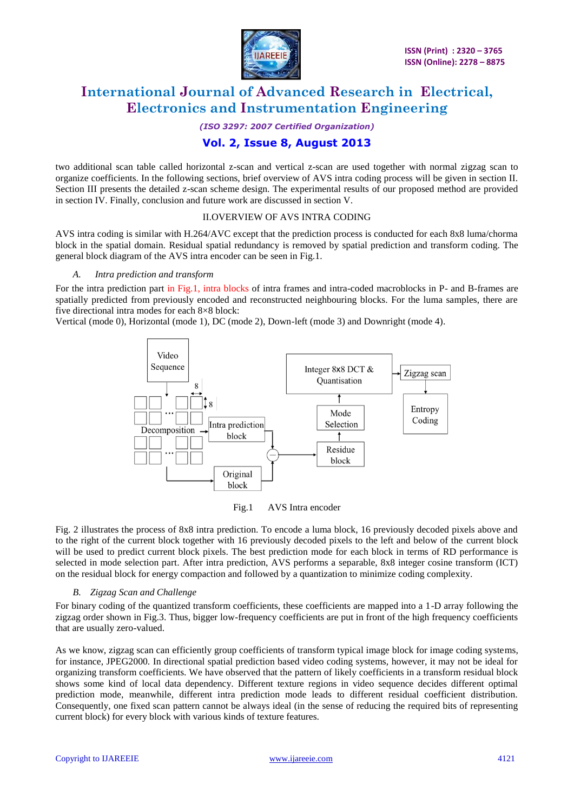

*(ISO 3297: 2007 Certified Organization)*

### **Vol. 2, Issue 8, August 2013**

two additional scan table called horizontal z-scan and vertical z-scan are used together with normal zigzag scan to organize coefficients. In the following sections, brief overview of AVS intra coding process will be given in section II. Section III presents the detailed z-scan scheme design. The experimental results of our proposed method are provided in section IV. Finally, conclusion and future work are discussed in section V.

#### II.OVERVIEW OF AVS INTRA CODING

AVS intra coding is similar with H.264/AVC except that the prediction process is conducted for each 8x8 luma/chorma block in the spatial domain. Residual spatial redundancy is removed by spatial prediction and transform coding. The general block diagram of the AVS intra encoder can be seen in Fig.1.

#### *A. Intra prediction and transform*

For the intra prediction part in Fig.1, intra blocks of intra frames and intra-coded macroblocks in P- and B-frames are spatially predicted from previously encoded and reconstructed neighbouring blocks. For the luma samples, there are five directional intra modes for each 8×8 block:

Vertical (mode 0), Horizontal (mode 1), DC (mode 2), Down-left (mode 3) and Downright (mode 4).



Fig.1 AVS Intra encoder

Fig. 2 illustrates the process of 8x8 intra prediction. To encode a luma block, 16 previously decoded pixels above and to the right of the current block together with 16 previously decoded pixels to the left and below of the current block will be used to predict current block pixels. The best prediction mode for each block in terms of RD performance is selected in mode selection part. After intra prediction, AVS performs a separable, 8x8 integer cosine transform (ICT) on the residual block for energy compaction and followed by a quantization to minimize coding complexity.

#### *B. Zigzag Scan and Challenge*

For binary coding of the quantized transform coefficients, these coefficients are mapped into a 1-D array following the zigzag order shown in Fig.3. Thus, bigger low-frequency coefficients are put in front of the high frequency coefficients that are usually zero-valued.

As we know, zigzag scan can efficiently group coefficients of transform typical image block for image coding systems, for instance, JPEG2000. In directional spatial prediction based video coding systems, however, it may not be ideal for organizing transform coefficients. We have observed that the pattern of likely coefficients in a transform residual block shows some kind of local data dependency. Different texture regions in video sequence decides different optimal prediction mode, meanwhile, different intra prediction mode leads to different residual coefficient distribution. Consequently, one fixed scan pattern cannot be always ideal (in the sense of reducing the required bits of representing current block) for every block with various kinds of texture features.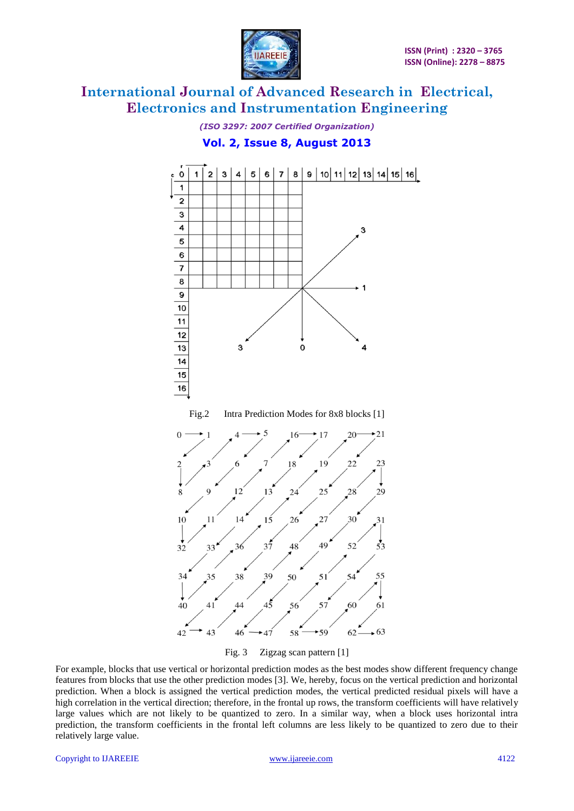

*(ISO 3297: 2007 Certified Organization)*

### **Vol. 2, Issue 8, August 2013**



Fig. 3 Zigzag scan pattern [1]

For example, blocks that use vertical or horizontal prediction modes as the best modes show different frequency change features from blocks that use the other prediction modes [3]. We, hereby, focus on the vertical prediction and horizontal prediction. When a block is assigned the vertical prediction modes, the vertical predicted residual pixels will have a high correlation in the vertical direction; therefore, in the frontal up rows, the transform coefficients will have relatively large values which are not likely to be quantized to zero. In a similar way, when a block uses horizontal intra prediction, the transform coefficients in the frontal left columns are less likely to be quantized to zero due to their relatively large value.

#### Copyright to IJAREEIE [www.ijareeie.com](http://www.ijareeie.com/) 4122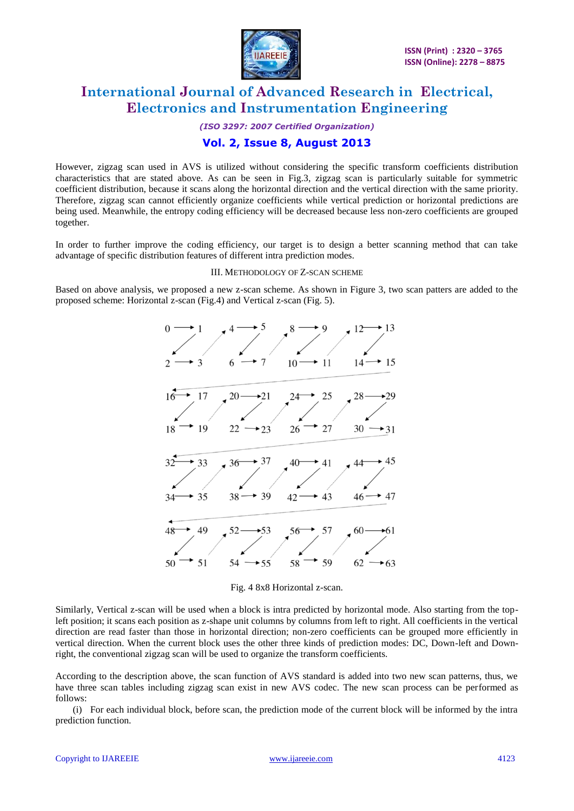

*(ISO 3297: 2007 Certified Organization)*

### **Vol. 2, Issue 8, August 2013**

However, zigzag scan used in AVS is utilized without considering the specific transform coefficients distribution characteristics that are stated above. As can be seen in Fig.3, zigzag scan is particularly suitable for symmetric coefficient distribution, because it scans along the horizontal direction and the vertical direction with the same priority. Therefore, zigzag scan cannot efficiently organize coefficients while vertical prediction or horizontal predictions are being used. Meanwhile, the entropy coding efficiency will be decreased because less non-zero coefficients are grouped together.

In order to further improve the coding efficiency, our target is to design a better scanning method that can take advantage of specific distribution features of different intra prediction modes.

#### III. METHODOLOGY OF Z-SCAN SCHEME

Based on above analysis, we proposed a new z-scan scheme. As shown in Figure 3, two scan patters are added to the proposed scheme: Horizontal z-scan (Fig.4) and Vertical z-scan (Fig. 5).





Similarly, Vertical z-scan will be used when a block is intra predicted by horizontal mode. Also starting from the topleft position; it scans each position as z-shape unit columns by columns from left to right. All coefficients in the vertical direction are read faster than those in horizontal direction; non-zero coefficients can be grouped more efficiently in vertical direction. When the current block uses the other three kinds of prediction modes: DC, Down-left and Downright, the conventional zigzag scan will be used to organize the transform coefficients.

According to the description above, the scan function of AVS standard is added into two new scan patterns, thus, we have three scan tables including zigzag scan exist in new AVS codec. The new scan process can be performed as follows:

(i) For each individual block, before scan, the prediction mode of the current block will be informed by the intra prediction function.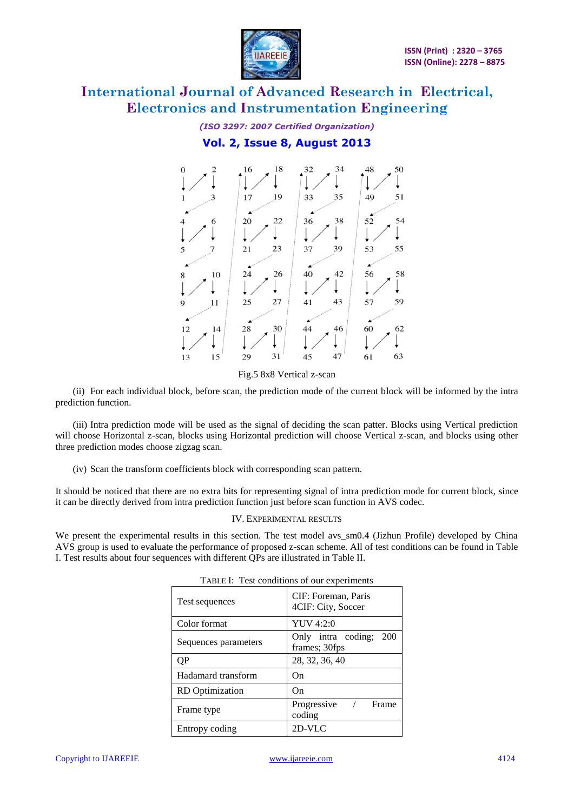

*(ISO 3297: 2007 Certified Organization)*

### **Vol. 2, Issue 8, August 2013**



Fig.5 8x8 Vertical z-scan

(ii) For each individual block, before scan, the prediction mode of the current block will be informed by the intra prediction function.

(iii) Intra prediction mode will be used as the signal of deciding the scan patter. Blocks using Vertical prediction will choose Horizontal z-scan, blocks using Horizontal prediction will choose Vertical z-scan, and blocks using other three prediction modes choose zigzag scan.

(iv) Scan the transform coefficients block with corresponding scan pattern.

It should be noticed that there are no extra bits for representing signal of intra prediction mode for current block, since it can be directly derived from intra prediction function just before scan function in AVS codec.

#### IV. EXPERIMENTAL RESULTS

We present the experimental results in this section. The test model avs sm0.4 (Jizhun Profile) developed by China AVS group is used to evaluate the performance of proposed z-scan scheme. All of test conditions can be found in Table I. Test results about four sequences with different QPs are illustrated in Table II.

| Test sequences         | CIF: Foreman, Paris<br>4CIF: City, Soccer  |  |  |  |
|------------------------|--------------------------------------------|--|--|--|
| Color format           | YUV 4:2:0                                  |  |  |  |
| Sequences parameters   | Only intra coding;<br>200<br>frames; 30fps |  |  |  |
| <b>OP</b>              | 28, 32, 36, 40                             |  |  |  |
| Hadamard transform     | On                                         |  |  |  |
| <b>RD</b> Optimization | O <sub>n</sub>                             |  |  |  |
| Frame type             | Progressive /<br>Frame<br>coding           |  |  |  |
| Entropy coding         | 2D-VLC                                     |  |  |  |

| TABLE I: Test conditions of our experiments |  |
|---------------------------------------------|--|
|                                             |  |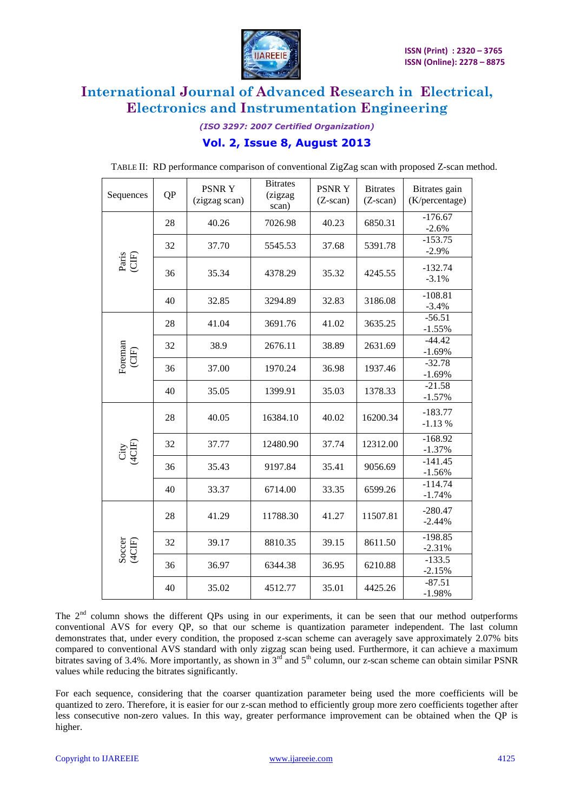

*(ISO 3297: 2007 Certified Organization)*

## **Vol. 2, Issue 8, August 2013**

| Sequences        | QP | <b>PSNRY</b><br>(zigzag scan) | <b>Bitrates</b><br>(zigzag<br>scan) | <b>PSNRY</b><br>$(Z$ -scan $)$ | <b>Bitrates</b><br>$(Z$ -scan $)$ | Bitrates gain<br>(K/percentage) |
|------------------|----|-------------------------------|-------------------------------------|--------------------------------|-----------------------------------|---------------------------------|
| Paris<br>(CIF)   | 28 | 40.26                         | 7026.98                             | 40.23                          | 6850.31                           | $-176.67$<br>$-2.6%$            |
|                  | 32 | 37.70                         | 5545.53                             | 37.68                          | 5391.78                           | $-153.75$<br>$-2.9%$            |
|                  | 36 | 35.34                         | 4378.29                             | 35.32                          | 4245.55                           | $-132.74$<br>$-3.1%$            |
|                  | 40 | 32.85                         | 3294.89                             | 32.83                          | 3186.08                           | $-108.81$<br>$-3.4%$            |
| Foreman<br>(E)   | 28 | 41.04                         | 3691.76                             | 41.02                          | 3635.25                           | $-56.51$<br>$-1.55%$            |
|                  | 32 | 38.9                          | 2676.11                             | 38.89                          | 2631.69                           | $-44.42$<br>$-1.69%$            |
|                  | 36 | 37.00                         | 1970.24                             | 36.98                          | 1937.46                           | $-32.78$<br>$-1.69%$            |
|                  | 40 | 35.05                         | 1399.91                             | 35.03                          | 1378.33                           | $-21.58$<br>$-1.57%$            |
| City<br>(4CIF)   | 28 | 40.05                         | 16384.10                            | 40.02                          | 16200.34                          | $-183.77$<br>$-1.13%$           |
|                  | 32 | 37.77                         | 12480.90                            | 37.74                          | 12312.00                          | $-168.92$<br>$-1.37%$           |
|                  | 36 | 35.43                         | 9197.84                             | 35.41                          | 9056.69                           | $-141.45$<br>$-1.56%$           |
|                  | 40 | 33.37                         | 6714.00                             | 33.35                          | 6599.26                           | $-114.74$<br>$-1.74%$           |
| Soccer<br>(4CIF) | 28 | 41.29                         | 11788.30                            | 41.27                          | 11507.81                          | $-280.47$<br>$-2.44%$           |
|                  | 32 | 39.17                         | 8810.35                             | 39.15                          | 8611.50                           | $-198.85$<br>$-2.31%$           |
|                  | 36 | 36.97                         | 6344.38                             | 36.95                          | 6210.88                           | $-133.5$<br>$-2.15%$            |
|                  | 40 | 35.02                         | 4512.77                             | 35.01                          | 4425.26                           | $-87.51$<br>$-1.98%$            |

TABLE II: RD performance comparison of conventional ZigZag scan with proposed Z-scan method.

The  $2<sup>nd</sup>$  column shows the different QPs using in our experiments, it can be seen that our method outperforms conventional AVS for every QP, so that our scheme is quantization parameter independent. The last column demonstrates that, under every condition, the proposed z-scan scheme can averagely save approximately 2.07% bits compared to conventional AVS standard with only zigzag scan being used. Furthermore, it can achieve a maximum bitrates saving of 3.4%. More importantly, as shown in  $3^{rd}$  and  $5^{th}$  column, our z-scan scheme can obtain similar PSNR values while reducing the bitrates significantly.

For each sequence, considering that the coarser quantization parameter being used the more coefficients will be quantized to zero. Therefore, it is easier for our z-scan method to efficiently group more zero coefficients together after less consecutive non-zero values. In this way, greater performance improvement can be obtained when the QP is higher.